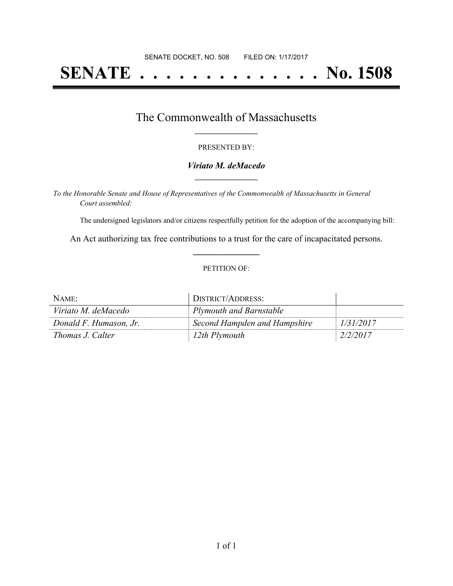# **SENATE . . . . . . . . . . . . . . No. 1508**

## The Commonwealth of Massachusetts **\_\_\_\_\_\_\_\_\_\_\_\_\_\_\_\_\_**

#### PRESENTED BY:

#### *Viriato M. deMacedo* **\_\_\_\_\_\_\_\_\_\_\_\_\_\_\_\_\_**

*To the Honorable Senate and House of Representatives of the Commonwealth of Massachusetts in General Court assembled:*

The undersigned legislators and/or citizens respectfully petition for the adoption of the accompanying bill:

An Act authorizing tax free contributions to a trust for the care of incapacitated persons. **\_\_\_\_\_\_\_\_\_\_\_\_\_\_\_**

#### PETITION OF:

| NAME:                  | DISTRICT/ADDRESS:            |           |
|------------------------|------------------------------|-----------|
| Viriato M. deMacedo    | Plymouth and Barnstable      |           |
| Donald F. Humason, Jr. | Second Hampden and Hampshire | 1/31/2017 |
| Thomas J. Calter       | 12th Plymouth                | 2/2/2017  |